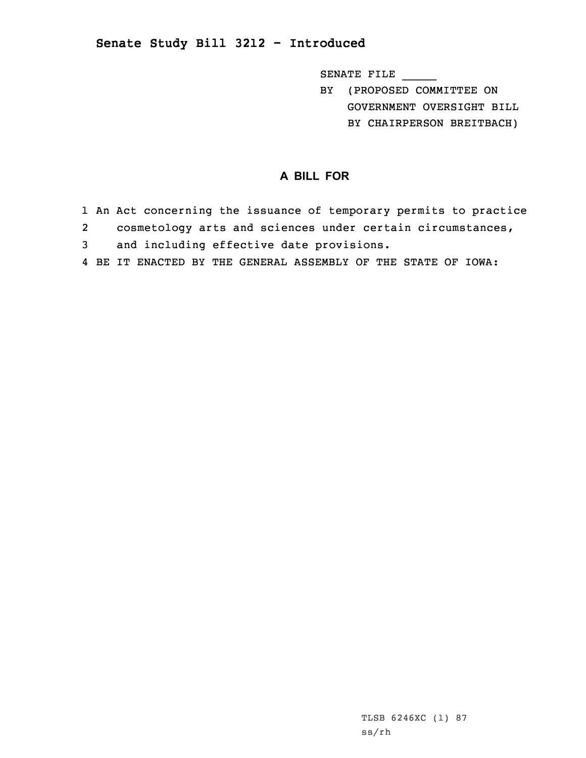## **Senate Study Bill 3212 - Introduced**

SENATE FILE \_\_\_\_\_

- BY (PROPOSED COMMITTEE ON GOVERNMENT OVERSIGHT BILL
	- BY CHAIRPERSON BREITBACH)

## **A BILL FOR**

- 1 An Act concerning the issuance of temporary permits to practice
- 2cosmetology arts and sciences under certain circumstances,
- 3 and including effective date provisions.
- 4 BE IT ENACTED BY THE GENERAL ASSEMBLY OF THE STATE OF IOWA: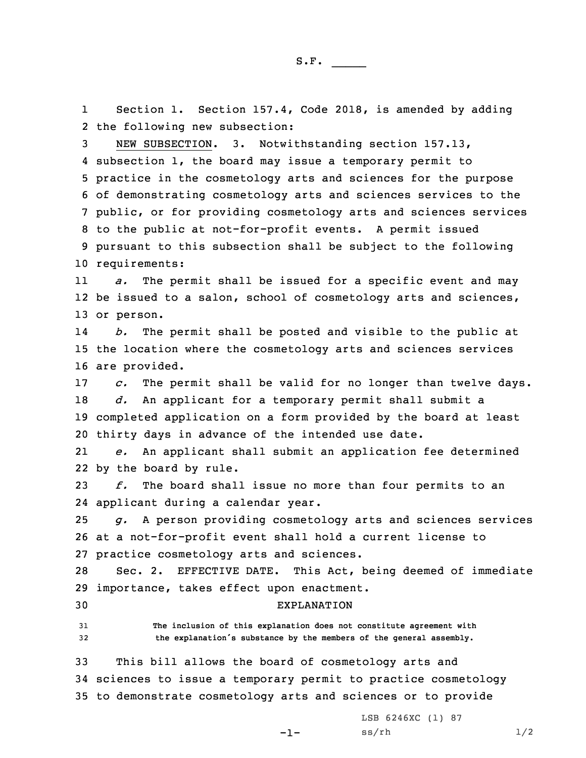1 Section 1. Section 157.4, Code 2018, is amended by adding 2 the following new subsection:

 NEW SUBSECTION. 3. Notwithstanding section 157.13, subsection 1, the board may issue <sup>a</sup> temporary permit to practice in the cosmetology arts and sciences for the purpose of demonstrating cosmetology arts and sciences services to the public, or for providing cosmetology arts and sciences services to the public at not-for-profit events. <sup>A</sup> permit issued pursuant to this subsection shall be subject to the following requirements:

11 *a.* The permit shall be issued for <sup>a</sup> specific event and may 12 be issued to a salon, school of cosmetology arts and sciences, 13 or person.

14 *b.* The permit shall be posted and visible to the public at 15 the location where the cosmetology arts and sciences services 16 are provided.

 *c.* The permit shall be valid for no longer than twelve days. *d.* An applicant for <sup>a</sup> temporary permit shall submit <sup>a</sup> completed application on <sup>a</sup> form provided by the board at least thirty days in advance of the intended use date.

21 *e.* An applicant shall submit an application fee determined 22 by the board by rule.

23 *f.* The board shall issue no more than four permits to an 24 applicant during <sup>a</sup> calendar year.

25 *g.* <sup>A</sup> person providing cosmetology arts and sciences services 26 at <sup>a</sup> not-for-profit event shall hold <sup>a</sup> current license to 27 practice cosmetology arts and sciences.

28 Sec. 2. EFFECTIVE DATE. This Act, being deemed of immediate 29 importance, takes effect upon enactment.

30 EXPLANATION

31 **The inclusion of this explanation does not constitute agreement with** <sup>32</sup> **the explanation's substance by the members of the general assembly.**

33 This bill allows the board of cosmetology arts and 34 sciences to issue <sup>a</sup> temporary permit to practice cosmetology 35 to demonstrate cosmetology arts and sciences or to provide

-1-

LSB 6246XC (1) 87  $ss/rh$   $1/2$